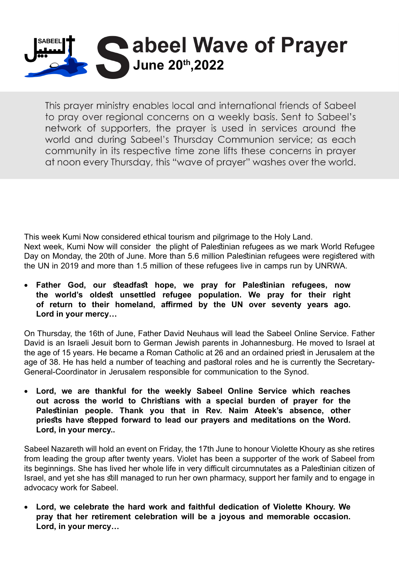

This prayer ministry enables local and international friends of Sabeel to pray over regional concerns on a weekly basis. Sent to Sabeel's network of supporters, the prayer is used in services around the world and during Sabeel's Thursday Communion service; as each community in its respective time zone lifts these concerns in prayer at noon every Thursday, this "wave of prayer" washes over the world.

This week Kumi Now considered ethical tourism and pilgrimage to the Holy Land. Next week, Kumi Now will consider the plight of Palestinian refugees as we mark World Refugee Day on Monday, the 20th of June. More than 5.6 million Palestinian refugees were registered with the UN in 2019 and more than 1.5 million of these refugees live in camps run by UNRWA.

**• Father God, our steadfast hope, we pray for Palestinian refugees, now** the world's oldest unsettled refugee population. We pray for their right of return to their homeland, affirmed by the UN over seventy years ago. Lord in your mercy...

On Thursday, the 16th of June, Father David Neuhaus will lead the Sabeel Online Service. Father David is an Israeli Jesuit born to German Jewish parents in Johannesburg. He moved to Israel at the age of 15 years. He became a Roman Catholic at 26 and an ordained priest in Jerusalem at the age of 38. He has held a number of teaching and pastoral roles and he is currently the Secretary-<br>General-Coordinator in Jerusalem responsible for communication to the Synod.

Lord, we are thankful for the weekly Sabeel Online Service which reaches out across the world to Christians with a special burden of prayer for the Palestinian people. Thank you that in Rev. Naim Ateek's absence, other priests have stepped forward to lead our prayers and meditations on the Word. Lord, in your mercy..

Sabeel Nazareth will hold an event on Friday, the 17th June to honour Violette Khoury as she retires from leading the group after twenty years. Violet has been a supporter of the work of Sabeel from its beginnings. She has lived her whole life in very difficult circumnutates as a Palestinian citizen of Israel, and yet she has still managed to run her own pharmacy, support her family and to engage in advocacy work for Sabeel.

Lord, we celebrate the hard work and faithful dedication of Violette Khoury. We pray that her retirement celebration will be a joyous and memorable occasion. Lord. in your mercy...